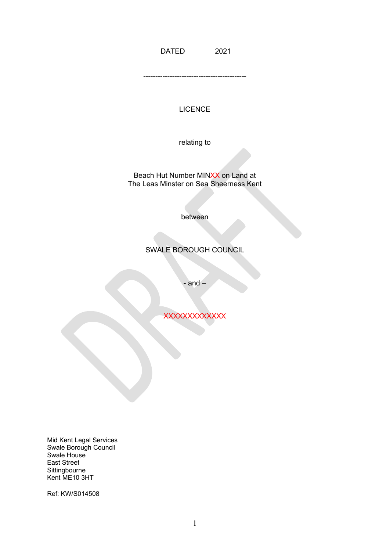DATED 2021

-------------------------------------------

## **LICENCE**

relating to

Beach Hut Number MINXX on Land at The Leas Minster on Sea Sheerness Kent

between

# SWALE BOROUGH COUNCIL

- and –

**XXXXXXXXXXXX** 

Mid Kent Legal Services Swale Borough Council Swale House East Street Sittingbourne Kent ME10 3HT

Ref: KW/S014508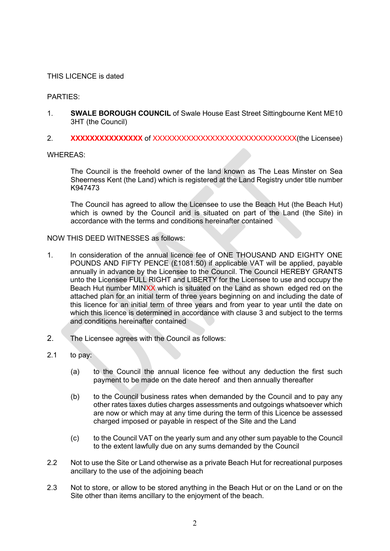## THIS LICENCE is dated

#### PARTIES:

- 1. **SWALE BOROUGH COUNCIL** of Swale House East Street Sittingbourne Kent ME10 3HT (the Council)
- 2. **XXXXXXXXXXXXXXX** of XXXXXXXXXXXXXXXXXXXXXXXXXXXXXX(the Licensee)

WHEREAS:

 The Council is the freehold owner of the land known as The Leas Minster on Sea Sheerness Kent (the Land) which is registered at the Land Registry under title number K947473

The Council has agreed to allow the Licensee to use the Beach Hut (the Beach Hut) which is owned by the Council and is situated on part of the Land (the Site) in accordance with the terms and conditions hereinafter contained

#### NOW THIS DEED WITNESSES as follows:

- 1. In consideration of the annual licence fee of ONE THOUSAND AND EIGHTY ONE unto the Licensee FULL RIGHT and LIBERTY for the Licensee to use and occupy the Beach Hut number MINXX which is situated on the Land as shown edged red on the attached plan for an initial term of three years beginning on and including the date of this licence for an initial term of three years and from year to year until the date on which this licence is determined in accordance with clause 3 and subject to the terms POUNDS AND FIFTY PENCE (£1081.50) if applicable VAT will be applied, payable annually in advance by the Licensee to the Council. The Council HEREBY GRANTS and conditions hereinafter contained
- 2. The Licensee agrees with the Council as follows:
- $2.1$ to pay:
	- (a) to the Council the annual licence fee without any deduction the first such payment to be made on the date hereof and then annually thereafter
	- (b) to the Council business rates when demanded by the Council and to pay any are now or which may at any time during the term of this Licence be assessed other rates taxes duties charges assessments and outgoings whatsoever which charged imposed or payable in respect of the Site and the Land
	- (c) to the Council VAT on the yearly sum and any other sum payable to the Council to the extent lawfully due on any sums demanded by the Council
- 2.2 Not to use the Site or Land otherwise as a private Beach Hut for recreational purposes ancillary to the use of the adjoining beach
- 2.3 Not to store, or allow to be stored anything in the Beach Hut or on the Land or on the Site other than items ancillary to the enjoyment of the beach.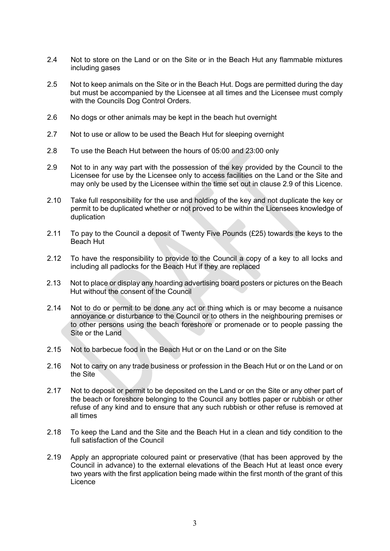- 2.4 Not to store on the Land or on the Site or in the Beach Hut any flammable mixtures including gases
- but must be accompanied by the Licensee at all times and the Licensee must comply 2.5 Not to keep animals on the Site or in the Beach Hut. Dogs are permitted during the day with the Councils Dog Control Orders.
- 2.6 No dogs or other animals may be kept in the beach hut overnight
- 2.7 Not to use or allow to be used the Beach Hut for sleeping overnight
- 2.8 To use the Beach Hut between the hours of 05:00 and 23:00 only
- Licensee for use by the Licensee only to access facilities on the Land or the Site and 2.9 Not to in any way part with the possession of the key provided by the Council to the may only be used by the Licensee within the time set out in clause 2.9 of this Licence.
- 2.10 Take full responsibility for the use and holding of the key and not duplicate the key or permit to be duplicated whether or not proved to be within the Licensees knowledge of duplication
- 2.11 To pay to the Council a deposit of Twenty Five Pounds (£25) towards the keys to the Beach Hut
- 2.12 To have the responsibility to provide to the Council a copy of a key to all locks and including all padlocks for the Beach Hut if they are replaced
- 2.13 Not to place or display any hoarding advertising board posters or pictures on the Beach Hut without the consent of the Council
- annoyance or disturbance to the Council or to others in the neighbouring premises or to other persons using the beach foreshore or promenade or to people passing the 2.14 Not to do or permit to be done any act or thing which is or may become a nuisance Site or the Land
- 2.15 Not to barbecue food in the Beach Hut or on the Land or on the Site
- 2.16 Not to carry on any trade business or profession in the Beach Hut or on the Land or on the Site
- the beach or foreshore belonging to the Council any bottles paper or rubbish or other 2.17 Not to deposit or permit to be deposited on the Land or on the Site or any other part of refuse of any kind and to ensure that any such rubbish or other refuse is removed at all times
- 2.18 To keep the Land and the Site and the Beach Hut in a clean and tidy condition to the full satisfaction of the Council
- Council in advance) to the external elevations of the Beach Hut at least once every two years with the first application being made within the first month of the grant of this 2.19 Apply an appropriate coloured paint or preservative (that has been approved by the Licence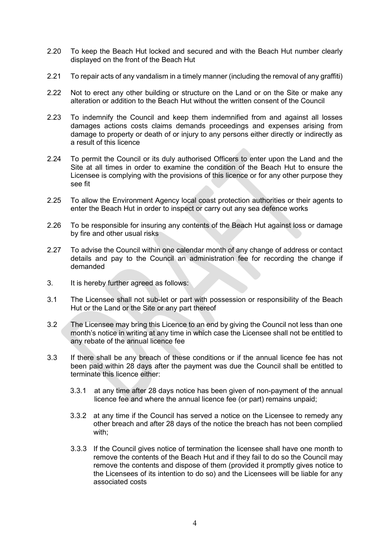- 2.20 To keep the Beach Hut locked and secured and with the Beach Hut number clearly displayed on the front of the Beach Hut
- 2.21 To repair acts of any vandalism in a timely manner (including the removal of any graffiti)
- 2.22 Not to erect any other building or structure on the Land or on the Site or make any alteration or addition to the Beach Hut without the written consent of the Council
- damages actions costs claims demands proceedings and expenses arising from 2.23 To indemnify the Council and keep them indemnified from and against all losses damage to property or death of or injury to any persons either directly or indirectly as a result of this licence
- 2.24 To permit the Council or its duly authorised Officers to enter upon the Land and the Site at all times in order to examine the condition of the Beach Hut to ensure the Licensee is complying with the provisions of this licence or for any other purpose they see fit
- enter the Beach Hut in order to inspect or carry out any sea defence works 2.25 To allow the Environment Agency local coast protection authorities or their agents to
- 2.26 To be responsible for insuring any contents of the Beach Hut against loss or damage by fire and other usual risks
- 2.27 To advise the Council within one calendar month of any change of address or contact details and pay to the Council an administration fee for recording the change if demanded
- 3. It is hereby further agreed as follows:
- 3.1 The Licensee shall not sub-let or part with possession or responsibility of the Beach Hut or the Land or the Site or any part thereof
- 3.2 The Licensee may bring this Licence to an end by giving the Council not less than one month's notice in writing at any time in which case the Licensee shall not be entitled to any rebate of the annual licence fee
- 3.3 If there shall be any breach of these conditions or if the annual licence fee has not been paid within 28 days after the payment was due the Council shall be entitled to terminate this licence either:
	- 3.3.1 at any time after 28 days notice has been given of non-payment of the annual licence fee and where the annual licence fee (or part) remains unpaid;
	- 3.3.2 at any time if the Council has served a notice on the Licensee to remedy any other breach and after 28 days of the notice the breach has not been complied with;
	- 3.3.3 If the Council gives notice of termination the licensee shall have one month to remove the contents and dispose of them (provided it promptly gives notice to the Licensees of its intention to do so) and the Licensees will be liable for any remove the contents of the Beach Hut and if they fail to do so the Council may associated costs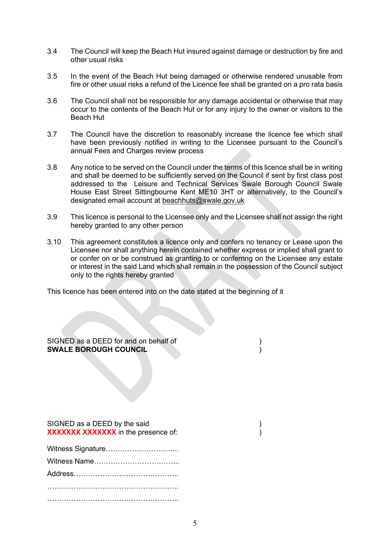- 3.4 The Council will keep the Beach Hut insured against damage or destruction by fire and other usual risks
- 3.5 In the event of the Beach Hut being damaged or otherwise rendered unusable from fire or other usual risks a refund of the Licence fee shall be granted on a pro rata basis
- 3.6 The Council shall not be responsible for any damage accidental or otherwise that may occur to the contents of the Beach Hut or for any injury to the owner or visitors to the Beach Hut
- 3.7 The Council have the discretion to reasonably increase the licence fee which shall have been previously notified in writing to the Licensee pursuant to the Council's annual Fees and Charges review process
- and shall be deemed to be sufficiently served on the Council if sent by first class post House East Street Sittingbourne Kent ME10 3HT or alternatively, to the Council's designated email account at beachhuts@swale.gov.uk 3.8 Any notice to be served on the Council under the terms of this licence shall be in writing addressed to the Leisure and Technical Services Swale Borough Council Swale
- 3.9 This licence is personal to the Licensee only and the Licensee shall not assign the right hereby granted to any other person
- Licensee nor shall anything herein contained whether express or implied shall grant to 3.10 This agreement constitutes a licence only and confers no tenancy or Lease upon the or confer on or be construed as granting to or conferring on the Licensee any estate or interest in the said Land which shall remain in the possession of the Council subject only to the rights hereby granted

This licence has been entered into on the date stated at the beginning of it

 SIGNED as a DEED for and on behalf of )  **SWALE BOROUGH COUNCIL** )

| SIGNED as a DEED by the said        |  |
|-------------------------------------|--|
| XXXXXXX XXXXXXX in the presence of: |  |

| Witness Signature |
|-------------------|
|                   |
|                   |
|                   |
|                   |